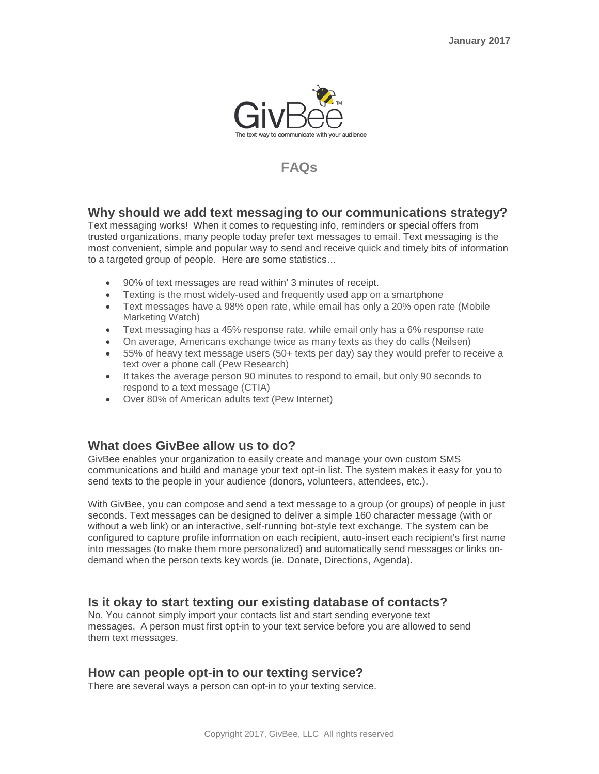

# **FAQs**

## **Why should we add text messaging to our communications strategy?**

Text messaging works! When it comes to requesting info, reminders or special offers from trusted organizations, many people today prefer text messages to email. Text messaging is the most convenient, simple and popular way to send and receive quick and timely bits of information to a targeted group of people. Here are some statistics…

- 90% of text messages are read within' 3 minutes of receipt.
- Texting is the most widely-used and frequently used app on a smartphone
- Text messages have a 98% open rate, while email has only a 20% open rate (Mobile Marketing Watch)
- Text messaging has a 45% response rate, while email only has a 6% response rate
- On average, Americans exchange twice as many texts as they do calls (Neilsen)
- 55% of heavy text message users (50+ texts per day) say they would prefer to receive a text over a phone call (Pew Research)
- It takes the average person 90 minutes to respond to email, but only 90 seconds to respond to a text message (CTIA)
- Over 80% of American adults text (Pew Internet)

## **What does GivBee allow us to do?**

GivBee enables your organization to easily create and manage your own custom SMS communications and build and manage your text opt-in list. The system makes it easy for you to send texts to the people in your audience (donors, volunteers, attendees, etc.).

With GivBee, you can compose and send a text message to a group (or groups) of people in just seconds. Text messages can be designed to deliver a simple 160 character message (with or without a web link) or an interactive, self-running bot-style text exchange. The system can be configured to capture profile information on each recipient, auto-insert each recipient's first name into messages (to make them more personalized) and automatically send messages or links ondemand when the person texts key words (ie. Donate, Directions, Agenda).

## **Is it okay to start texting our existing database of contacts?**

No. You cannot simply import your contacts list and start sending everyone text messages. A person must first opt-in to your text service before you are allowed to send them text messages.

# **How can people opt-in to our texting service?**

There are several ways a person can opt-in to your texting service.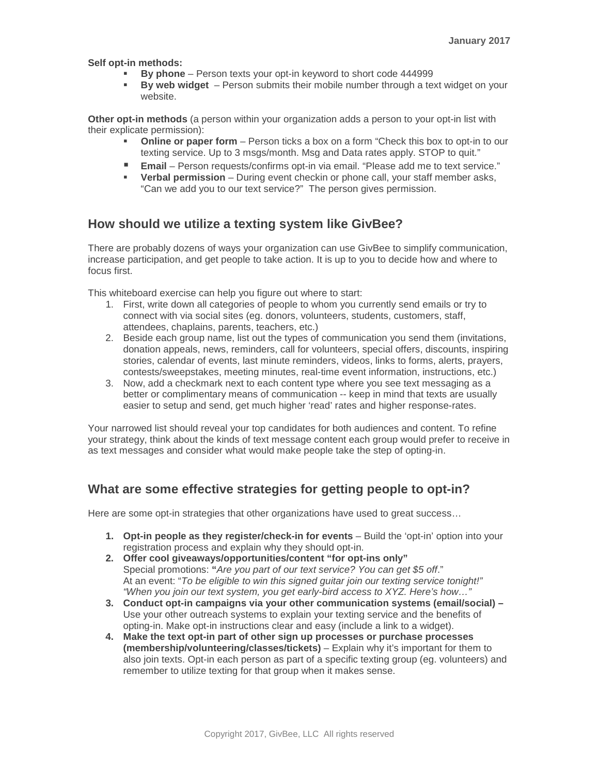**Self opt-in methods:**

- **By phone** Person texts your opt-in keyword to short code 444999
- **By web widget** Person submits their mobile number through a text widget on your website.

**Other opt-in methods** (a person within your organization adds a person to your opt-in list with their explicate permission):

- **Online or paper form** Person ticks a box on a form "Check this box to opt-in to our texting service. Up to 3 msgs/month. Msg and Data rates apply. STOP to quit."
- Email Person requests/confirms opt-in via email. "Please add me to text service."
- **Verbal permission** During event checkin or phone call, your staff member asks, "Can we add you to our text service?" The person gives permission.

## **How should we utilize a texting system like GivBee?**

There are probably dozens of ways your organization can use GivBee to simplify communication, increase participation, and get people to take action. It is up to you to decide how and where to focus first.

This whiteboard exercise can help you figure out where to start:

- 1. First, write down all categories of people to whom you currently send emails or try to connect with via social sites (eg. donors, volunteers, students, customers, staff, attendees, chaplains, parents, teachers, etc.)
- 2. Beside each group name, list out the types of communication you send them (invitations, donation appeals, news, reminders, call for volunteers, special offers, discounts, inspiring stories, calendar of events, last minute reminders, videos, links to forms, alerts, prayers, contests/sweepstakes, meeting minutes, real-time event information, instructions, etc.)
- 3. Now, add a checkmark next to each content type where you see text messaging as a better or complimentary means of communication -- keep in mind that texts are usually easier to setup and send, get much higher 'read' rates and higher response-rates.

Your narrowed list should reveal your top candidates for both audiences and content. To refine your strategy, think about the kinds of text message content each group would prefer to receive in as text messages and consider what would make people take the step of opting-in.

## **What are some effective strategies for getting people to opt-in?**

Here are some opt-in strategies that other organizations have used to great success…

- **1. Opt-in people as they register/check-in for events** Build the 'opt-in' option into your registration process and explain why they should opt-in.
- **2. Offer cool giveaways/opportunities/content "for opt-ins only"** Special promotions: **"***Are you part of our text service? You can get \$5 off*." At an event: "*To be eligible to win this signed guitar join our texting service tonight!" "When you join our text system, you get early-bird access to XYZ. Here's how…"*
- **3. Conduct opt-in campaigns via your other communication systems (email/social) –** Use your other outreach systems to explain your texting service and the benefits of opting-in. Make opt-in instructions clear and easy (include a link to a widget).
- **4. Make the text opt-in part of other sign up processes or purchase processes (membership/volunteering/classes/tickets)** – Explain why it's important for them to also join texts. Opt-in each person as part of a specific texting group (eg. volunteers) and remember to utilize texting for that group when it makes sense.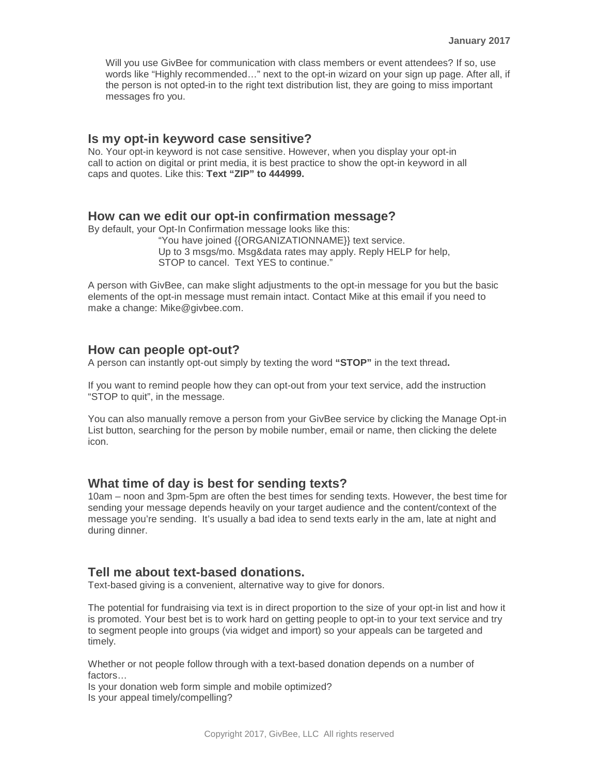Will you use GivBee for communication with class members or event attendees? If so, use words like "Highly recommended…" next to the opt-in wizard on your sign up page. After all, if the person is not opted-in to the right text distribution list, they are going to miss important messages fro you.

#### **Is my opt-in keyword case sensitive?**

No. Your opt-in keyword is not case sensitive. However, when you display your opt-in call to action on digital or print media, it is best practice to show the opt-in keyword in all caps and quotes. Like this: **Text "ZIP" to 444999.**

#### **How can we edit our opt-in confirmation message?**

By default, your Opt-In Confirmation message looks like this:

"You have joined {{ORGANIZATIONNAME}} text service. Up to 3 msgs/mo. Msg&data rates may apply. Reply HELP for help, STOP to cancel. Text YES to continue."

A person with GivBee, can make slight adjustments to the opt-in message for you but the basic elements of the opt-in message must remain intact. Contact Mike at this email if you need to make a change: Mike@givbee.com.

#### **How can people opt-out?**

A person can instantly opt-out simply by texting the word **"STOP"** in the text thread**.** 

If you want to remind people how they can opt-out from your text service, add the instruction "STOP to quit", in the message.

You can also manually remove a person from your GivBee service by clicking the Manage Opt-in List button, searching for the person by mobile number, email or name, then clicking the delete icon.

#### **What time of day is best for sending texts?**

10am – noon and 3pm-5pm are often the best times for sending texts. However, the best time for sending your message depends heavily on your target audience and the content/context of the message you're sending. It's usually a bad idea to send texts early in the am, late at night and during dinner.

#### **Tell me about text-based donations.**

Text-based giving is a convenient, alternative way to give for donors.

The potential for fundraising via text is in direct proportion to the size of your opt-in list and how it is promoted. Your best bet is to work hard on getting people to opt-in to your text service and try to segment people into groups (via widget and import) so your appeals can be targeted and timely.

Whether or not people follow through with a text-based donation depends on a number of factors…

Is your donation web form simple and mobile optimized? Is your appeal timely/compelling?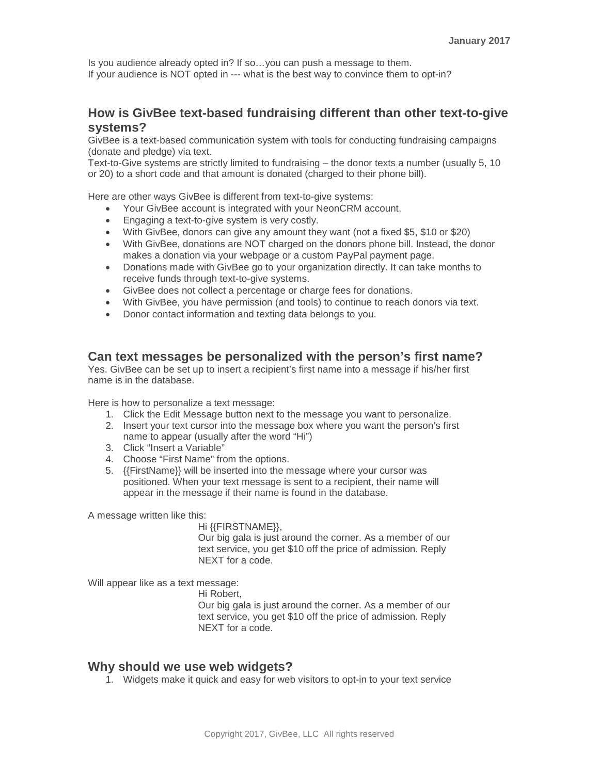Is you audience already opted in? If so…you can push a message to them. If your audience is NOT opted in --- what is the best way to convince them to opt-in?

#### **How is GivBee text-based fundraising different than other text-to-give systems?**

GivBee is a text-based communication system with tools for conducting fundraising campaigns (donate and pledge) via text.

Text-to-Give systems are strictly limited to fundraising – the donor texts a number (usually 5, 10 or 20) to a short code and that amount is donated (charged to their phone bill).

Here are other ways GivBee is different from text-to-give systems:

- Your GivBee account is integrated with your NeonCRM account.
- Engaging a text-to-give system is very costly.
- With GivBee, donors can give any amount they want (not a fixed \$5, \$10 or \$20)
- With GivBee, donations are NOT charged on the donors phone bill. Instead, the donor makes a donation via your webpage or a custom PayPal payment page.
- Donations made with GivBee go to your organization directly. It can take months to receive funds through text-to-give systems.
- GivBee does not collect a percentage or charge fees for donations.
- With GivBee, you have permission (and tools) to continue to reach donors via text.
- Donor contact information and texting data belongs to you.

#### **Can text messages be personalized with the person's first name?**

Yes. GivBee can be set up to insert a recipient's first name into a message if his/her first name is in the database.

Here is how to personalize a text message:

- 1. Click the Edit Message button next to the message you want to personalize.
- 2. Insert your text cursor into the message box where you want the person's first name to appear (usually after the word "Hi")
- 3. Click "Insert a Variable"
- 4. Choose "First Name" from the options.
- 5. {{FirstName}} will be inserted into the message where your cursor was positioned. When your text message is sent to a recipient, their name will appear in the message if their name is found in the database.

A message written like this:

Hi {{FIRSTNAME}},

Our big gala is just around the corner. As a member of our text service, you get \$10 off the price of admission. Reply NEXT for a code.

Will appear like as a text message:

Hi Robert,

Our big gala is just around the corner. As a member of our text service, you get \$10 off the price of admission. Reply NEXT for a code.

#### **Why should we use web widgets?**

1. Widgets make it quick and easy for web visitors to opt-in to your text service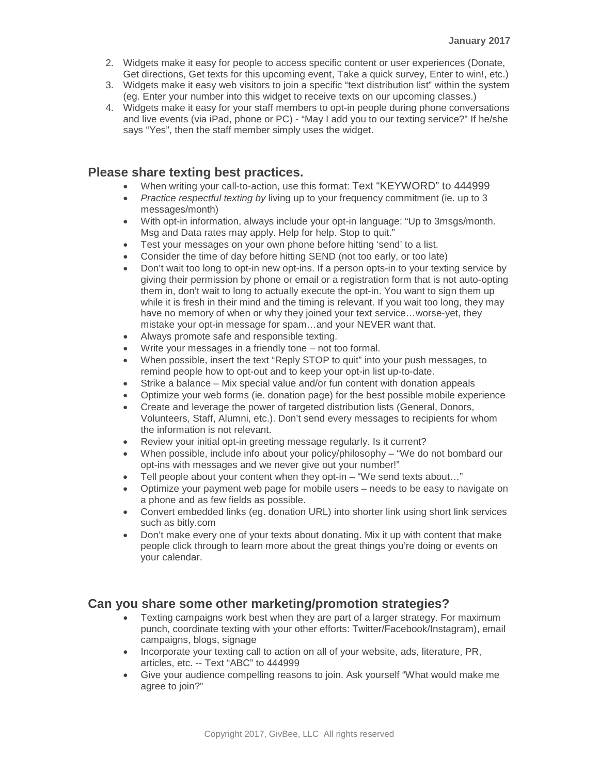- 2. Widgets make it easy for people to access specific content or user experiences (Donate, Get directions, Get texts for this upcoming event, Take a quick survey, Enter to win!, etc.)
- 3. Widgets make it easy web visitors to join a specific "text distribution list" within the system (eg. Enter your number into this widget to receive texts on our upcoming classes.)
- 4. Widgets make it easy for your staff members to opt-in people during phone conversations and live events (via iPad, phone or PC) - "May I add you to our texting service?" If he/she says "Yes", then the staff member simply uses the widget.

## **Please share texting best practices.**

- When writing your call-to-action, use this format: Text "KEYWORD" to 444999
- *Practice respectful texting by* living up to your frequency commitment (ie. up to 3 messages/month)
- With opt-in information, always include your opt-in language: "Up to 3msgs/month. Msg and Data rates may apply. Help for help. Stop to quit."
- Test your messages on your own phone before hitting 'send' to a list.
- Consider the time of day before hitting SEND (not too early, or too late)
- Don't wait too long to opt-in new opt-ins. If a person opts-in to your texting service by giving their permission by phone or email or a registration form that is not auto-opting them in, don't wait to long to actually execute the opt-in. You want to sign them up while it is fresh in their mind and the timing is relevant. If you wait too long, they may have no memory of when or why they joined your text service...worse-yet, they mistake your opt-in message for spam…and your NEVER want that.
- Always promote safe and responsible texting.
- Write your messages in a friendly tone not too formal.
- When possible, insert the text "Reply STOP to quit" into your push messages, to remind people how to opt-out and to keep your opt-in list up-to-date.
- Strike a balance Mix special value and/or fun content with donation appeals
- Optimize your web forms (ie. donation page) for the best possible mobile experience
- Create and leverage the power of targeted distribution lists (General, Donors, Volunteers, Staff, Alumni, etc.). Don't send every messages to recipients for whom the information is not relevant.
- Review your initial opt-in greeting message regularly. Is it current?
- When possible, include info about your policy/philosophy "We do not bombard our opt-ins with messages and we never give out your number!"
- Tell people about your content when they opt-in "We send texts about..."
- Optimize your payment web page for mobile users needs to be easy to navigate on a phone and as few fields as possible.
- Convert embedded links (eg. donation URL) into shorter link using short link services such as bitly.com
- Don't make every one of your texts about donating. Mix it up with content that make people click through to learn more about the great things you're doing or events on your calendar.

## **Can you share some other marketing/promotion strategies?**

- Texting campaigns work best when they are part of a larger strategy. For maximum punch, coordinate texting with your other efforts: Twitter/Facebook/Instagram), email campaigns, blogs, signage
- Incorporate your texting call to action on all of your website, ads, literature, PR, articles, etc. -- Text "ABC" to 444999
- Give your audience compelling reasons to join. Ask yourself "What would make me agree to join?"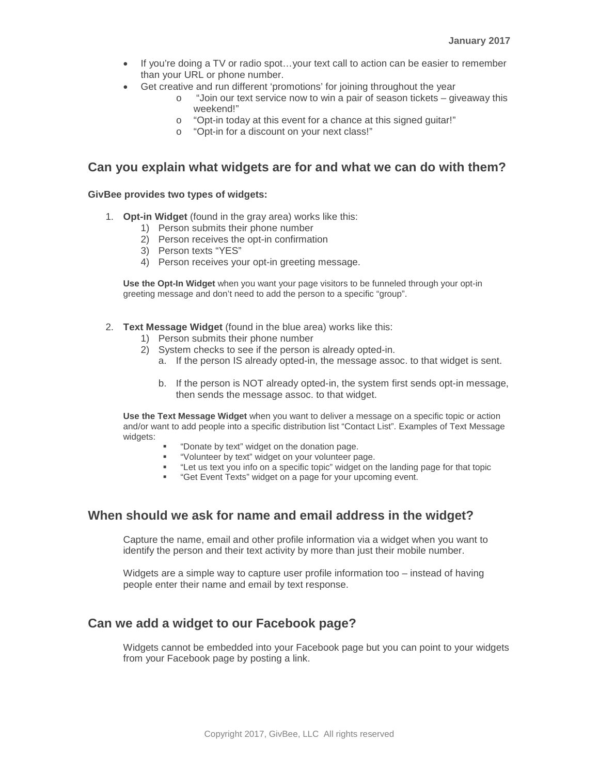- If you're doing a TV or radio spot...your text call to action can be easier to remember than your URL or phone number.
- Get creative and run different 'promotions' for joining throughout the year
	- o "Join our text service now to win a pair of season tickets giveaway this weekend!"
	- o "Opt-in today at this event for a chance at this signed guitar!"
	- o "Opt-in for a discount on your next class!"

#### **Can you explain what widgets are for and what we can do with them?**

#### **GivBee provides two types of widgets:**

- 1. **Opt-in Widget** (found in the gray area) works like this:
	- 1) Person submits their phone number
	- 2) Person receives the opt-in confirmation
	- 3) Person texts "YES"
	- 4) Person receives your opt-in greeting message.

**Use the Opt-In Widget** when you want your page visitors to be funneled through your opt-in greeting message and don't need to add the person to a specific "group".

- 2. **Text Message Widget** (found in the blue area) works like this:
	- 1) Person submits their phone number
	- 2) System checks to see if the person is already opted-in.
		- a. If the person IS already opted-in, the message assoc. to that widget is sent.
		- b. If the person is NOT already opted-in, the system first sends opt-in message, then sends the message assoc. to that widget.

**Use the Text Message Widget** when you want to deliver a message on a specific topic or action and/or want to add people into a specific distribution list "Contact List". Examples of Text Message widgets:

- "Donate by text" widget on the donation page.
- "Volunteer by text" widget on your volunteer page.
- "Let us text you info on a specific topic" widget on the landing page for that topic
- "Get Event Texts" widget on a page for your upcoming event.

## **When should we ask for name and email address in the widget?**

Capture the name, email and other profile information via a widget when you want to identify the person and their text activity by more than just their mobile number.

Widgets are a simple way to capture user profile information too – instead of having people enter their name and email by text response.

## **Can we add a widget to our Facebook page?**

Widgets cannot be embedded into your Facebook page but you can point to your widgets from your Facebook page by posting a link.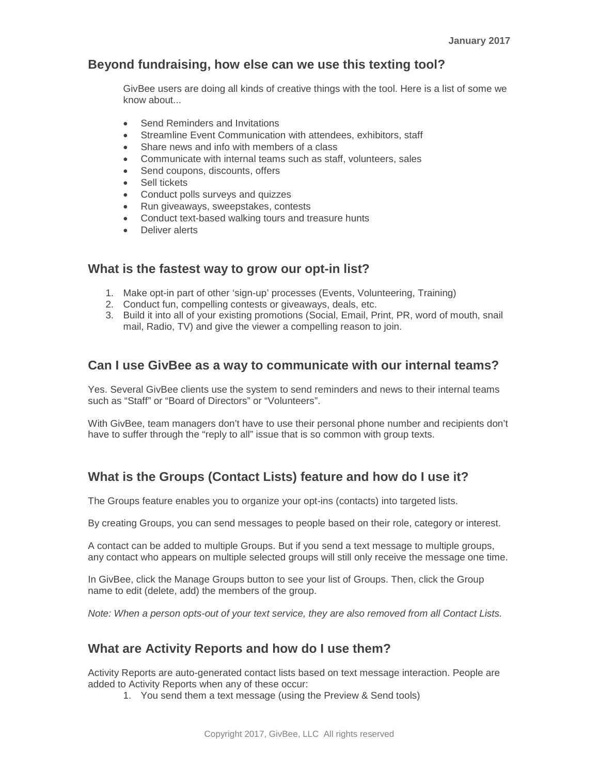## **Beyond fundraising, how else can we use this texting tool?**

GivBee users are doing all kinds of creative things with the tool. Here is a list of some we know about...

- Send Reminders and Invitations
- Streamline Event Communication with attendees, exhibitors, staff
- Share news and info with members of a class
- Communicate with internal teams such as staff, volunteers, sales
- Send coupons, discounts, offers
- Sell tickets
- Conduct polls surveys and quizzes
- Run giveaways, sweepstakes, contests
- Conduct text-based walking tours and treasure hunts
- Deliver alerts

#### **What is the fastest way to grow our opt-in list?**

- 1. Make opt-in part of other 'sign-up' processes (Events, Volunteering, Training)
- 2. Conduct fun, compelling contests or giveaways, deals, etc.
- 3. Build it into all of your existing promotions (Social, Email, Print, PR, word of mouth, snail mail, Radio, TV) and give the viewer a compelling reason to join.

#### **Can I use GivBee as a way to communicate with our internal teams?**

Yes. Several GivBee clients use the system to send reminders and news to their internal teams such as "Staff" or "Board of Directors" or "Volunteers".

With GivBee, team managers don't have to use their personal phone number and recipients don't have to suffer through the "reply to all" issue that is so common with group texts.

# **What is the Groups (Contact Lists) feature and how do I use it?**

The Groups feature enables you to organize your opt-ins (contacts) into targeted lists.

By creating Groups, you can send messages to people based on their role, category or interest.

A contact can be added to multiple Groups. But if you send a text message to multiple groups, any contact who appears on multiple selected groups will still only receive the message one time.

In GivBee, click the Manage Groups button to see your list of Groups. Then, click the Group name to edit (delete, add) the members of the group.

*Note: When a person opts-out of your text service, they are also removed from all Contact Lists.*

## **What are Activity Reports and how do I use them?**

Activity Reports are auto-generated contact lists based on text message interaction. People are added to Activity Reports when any of these occur:

1. You send them a text message (using the Preview & Send tools)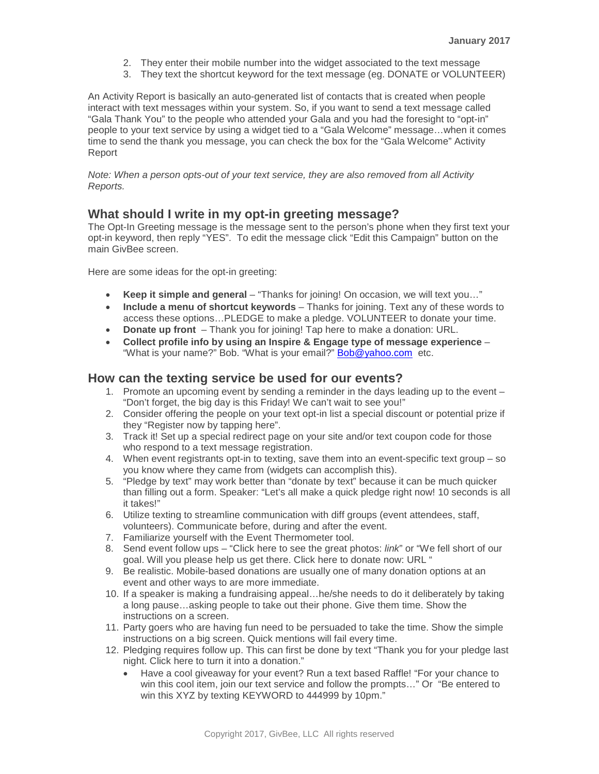- 2. They enter their mobile number into the widget associated to the text message
- 3. They text the shortcut keyword for the text message (eg. DONATE or VOLUNTEER)

An Activity Report is basically an auto-generated list of contacts that is created when people interact with text messages within your system. So, if you want to send a text message called "Gala Thank You" to the people who attended your Gala and you had the foresight to "opt-in" people to your text service by using a widget tied to a "Gala Welcome" message…when it comes time to send the thank you message, you can check the box for the "Gala Welcome" Activity Report

*Note: When a person opts-out of your text service, they are also removed from all Activity Reports.*

## **What should I write in my opt-in greeting message?**

The Opt-In Greeting message is the message sent to the person's phone when they first text your opt-in keyword, then reply "YES". To edit the message click "Edit this Campaign" button on the main GivBee screen.

Here are some ideas for the opt-in greeting:

- **Keep it simple and general** "Thanks for joining! On occasion, we will text you…"
- **Include a menu of shortcut keywords** Thanks for joining. Text any of these words to access these options…PLEDGE to make a pledge. VOLUNTEER to donate your time.
- **Donate up front** Thank you for joining! Tap here to make a donation: URL.
- **Collect profile info by using an Inspire & Engage type of message experience** "What is your name?" Bob. "What is your email?" [Bob@yahoo.com](mailto:Bob@yahoo.com) etc.

## **How can the texting service be used for our events?**

- 1. Promote an upcoming event by sending a reminder in the days leading up to the event "Don't forget, the big day is this Friday! We can't wait to see you!"
- 2. Consider offering the people on your text opt-in list a special discount or potential prize if they "Register now by tapping here".
- 3. Track it! Set up a special redirect page on your site and/or text coupon code for those who respond to a text message registration.
- 4. When event registrants opt-in to texting, save them into an event-specific text group so you know where they came from (widgets can accomplish this).
- 5. "Pledge by text" may work better than "donate by text" because it can be much quicker than filling out a form. Speaker: "Let's all make a quick pledge right now! 10 seconds is all it takes!"
- 6. Utilize texting to streamline communication with diff groups (event attendees, staff, volunteers). Communicate before, during and after the event.
- 7. Familiarize yourself with the Event Thermometer tool.
- 8. Send event follow ups "Click here to see the great photos: *link*" or "We fell short of our goal. Will you please help us get there. Click here to donate now: URL "
- 9. Be realistic. Mobile-based donations are usually one of many donation options at an event and other ways to are more immediate.
- 10. If a speaker is making a fundraising appeal…he/she needs to do it deliberately by taking a long pause…asking people to take out their phone. Give them time. Show the instructions on a screen.
- 11. Party goers who are having fun need to be persuaded to take the time. Show the simple instructions on a big screen. Quick mentions will fail every time.
- 12. Pledging requires follow up. This can first be done by text "Thank you for your pledge last night. Click here to turn it into a donation."
	- Have a cool giveaway for your event? Run a text based Raffle! "For your chance to win this cool item, join our text service and follow the prompts…" Or "Be entered to win this XYZ by texting KEYWORD to 444999 by 10pm."